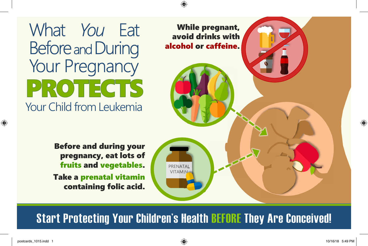What You Eat **Before and During** Your Pregnancy **PROTECTS** Your Child from Leukemia

> Before and during your pregnancy, eat lots of fruits and vegetables. Take a prenatal vitamin containing folic acid.



**Start Protecting Your Children's Health BEFORE They Are Conceived!**